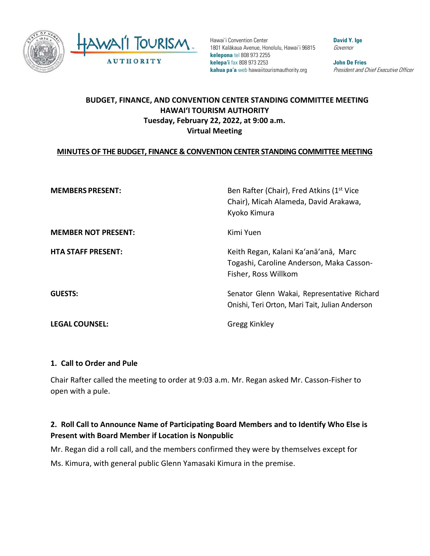

Hawai'i Convention Center 1801 Kalākaua Avenue, Honolulu, Hawai'i 96815 **kelepona** tel 808 973 2255 **kelepa'i** fax 808 973 2253 **kahua pa'a** web hawaiitourismauthority.org

**David Y. Ige** Governor

**John De Fries** President and Chief Executive Officer

## **BUDGET, FINANCE, AND CONVENTION CENTER STANDING COMMITTEE MEETING HAWAI'I TOURISM AUTHORITY Tuesday, February 22, 2022, at 9:00 a.m. Virtual Meeting**

### **MINUTES OF THE BUDGET, FINANCE & CONVENTION CENTER STANDING COMMITTEE MEETING**

| <b>MEMBERS PRESENT:</b>    | Ben Rafter (Chair), Fred Atkins (1 <sup>st</sup> Vice<br>Chair), Micah Alameda, David Arakawa,<br>Kyoko Kimura |
|----------------------------|----------------------------------------------------------------------------------------------------------------|
| <b>MEMBER NOT PRESENT:</b> | Kimi Yuen                                                                                                      |
| <b>HTA STAFF PRESENT:</b>  | Keith Regan, Kalani Ka'anā'anā, Marc<br>Togashi, Caroline Anderson, Maka Casson-<br>Fisher, Ross Willkom       |
| <b>GUESTS:</b>             | Senator Glenn Wakai, Representative Richard<br>Onishi, Teri Orton, Mari Tait, Julian Anderson                  |
| <b>LEGAL COUNSEL:</b>      | <b>Gregg Kinkley</b>                                                                                           |

### **1. Call to Order and Pule**

Chair Rafter called the meeting to order at 9:03 a.m. Mr. Regan asked Mr. Casson-Fisher to open with a pule.

## **2. Roll Call to Announce Name of Participating Board Members and to Identify Who Else is Present with Board Member if Location is Nonpublic**

Mr. Regan did a roll call, and the members confirmed they were by themselves except for Ms. Kimura, with general public Glenn Yamasaki Kimura in the premise.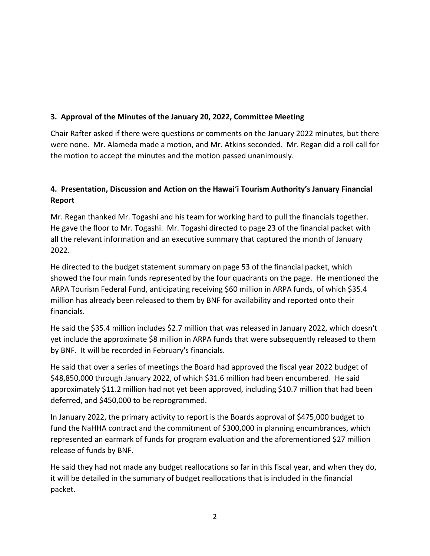### **3. Approval of the Minutes of the January 20, 2022, Committee Meeting**

Chair Rafter asked if there were questions or comments on the January 2022 minutes, but there were none. Mr. Alameda made a motion, and Mr. Atkins seconded. Mr. Regan did a roll call for the motion to accept the minutes and the motion passed unanimously.

# **4. Presentation, Discussion and Action on the Hawai'i Tourism Authority's January Financial Report**

Mr. Regan thanked Mr. Togashi and his team for working hard to pull the financials together. He gave the floor to Mr. Togashi. Mr. Togashi directed to page 23 of the financial packet with all the relevant information and an executive summary that captured the month of January 2022.

He directed to the budget statement summary on page 53 of the financial packet, which showed the four main funds represented by the four quadrants on the page. He mentioned the ARPA Tourism Federal Fund, anticipating receiving \$60 million in ARPA funds, of which \$35.4 million has already been released to them by BNF for availability and reported onto their financials.

He said the \$35.4 million includes \$2.7 million that was released in January 2022, which doesn't yet include the approximate \$8 million in ARPA funds that were subsequently released to them by BNF. It will be recorded in February's financials.

He said that over a series of meetings the Board had approved the fiscal year 2022 budget of \$48,850,000 through January 2022, of which \$31.6 million had been encumbered. He said approximately \$11.2 million had not yet been approved, including \$10.7 million that had been deferred, and \$450,000 to be reprogrammed.

In January 2022, the primary activity to report is the Boards approval of \$475,000 budget to fund the NaHHA contract and the commitment of \$300,000 in planning encumbrances, which represented an earmark of funds for program evaluation and the aforementioned \$27 million release of funds by BNF.

He said they had not made any budget reallocations so far in this fiscal year, and when they do, it will be detailed in the summary of budget reallocations that is included in the financial packet.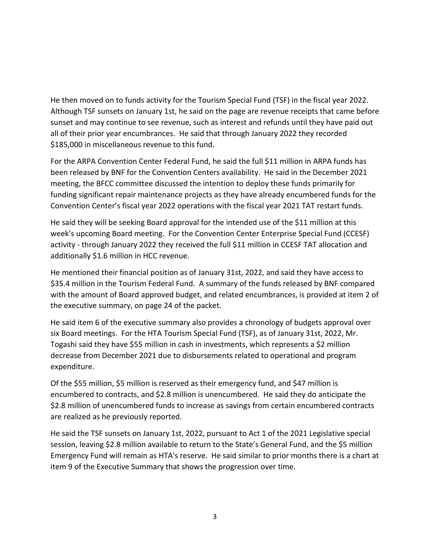He then moved on to funds activity for the Tourism Special Fund (TSF) in the fiscal year 2022. Although TSF sunsets on January 1st, he said on the page are revenue receipts that came before sunset and may continue to see revenue, such as interest and refunds until they have paid out all of their prior year encumbrances. He said that through January 2022 they recorded \$185,000 in miscellaneous revenue to this fund.

For the ARPA Convention Center Federal Fund, he said the full \$11 million in ARPA funds has been released by BNF for the Convention Centers availability. He said in the December 2021 meeting, the BFCC committee discussed the intention to deploy these funds primarily for funding significant repair maintenance projects as they have already encumbered funds for the Convention Center's fiscal year 2022 operations with the fiscal year 2021 TAT restart funds.

He said they will be seeking Board approval for the intended use of the \$11 million at this week's upcoming Board meeting. For the Convention Center Enterprise Special Fund (CCESF) activity - through January 2022 they received the full \$11 million in CCESF TAT allocation and additionally \$1.6 million in HCC revenue.

He mentioned their financial position as of January 31st, 2022, and said they have access to \$35.4 million in the Tourism Federal Fund. A summary of the funds released by BNF compared with the amount of Board approved budget, and related encumbrances, is provided at item 2 of the executive summary, on page 24 of the packet.

He said item 6 of the executive summary also provides a chronology of budgets approval over six Board meetings. For the HTA Tourism Special Fund (TSF), as of January 31st, 2022, Mr. Togashi said they have \$55 million in cash in investments, which represents a \$2 million decrease from December 2021 due to disbursements related to operational and program expenditure.

Of the \$55 million, \$5 million is reserved as their emergency fund, and \$47 million is encumbered to contracts, and \$2.8 million is unencumbered. He said they do anticipate the \$2.8 million of unencumbered funds to increase as savings from certain encumbered contracts are realized as he previously reported.

He said the TSF sunsets on January 1st, 2022, pursuant to Act 1 of the 2021 Legislative special session, leaving \$2.8 million available to return to the State's General Fund, and the \$5 million Emergency Fund will remain as HTA's reserve. He said similar to prior months there is a chart at item 9 of the Executive Summary that shows the progression over time.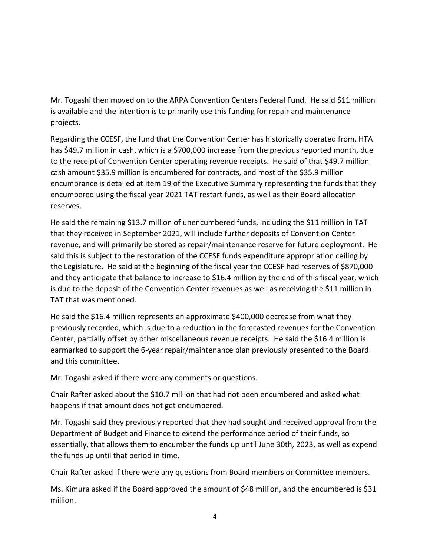Mr. Togashi then moved on to the ARPA Convention Centers Federal Fund. He said \$11 million is available and the intention is to primarily use this funding for repair and maintenance projects.

Regarding the CCESF, the fund that the Convention Center has historically operated from, HTA has \$49.7 million in cash, which is a \$700,000 increase from the previous reported month, due to the receipt of Convention Center operating revenue receipts. He said of that \$49.7 million cash amount \$35.9 million is encumbered for contracts, and most of the \$35.9 million encumbrance is detailed at item 19 of the Executive Summary representing the funds that they encumbered using the fiscal year 2021 TAT restart funds, as well as their Board allocation reserves.

He said the remaining \$13.7 million of unencumbered funds, including the \$11 million in TAT that they received in September 2021, will include further deposits of Convention Center revenue, and will primarily be stored as repair/maintenance reserve for future deployment. He said this is subject to the restoration of the CCESF funds expenditure appropriation ceiling by the Legislature. He said at the beginning of the fiscal year the CCESF had reserves of \$870,000 and they anticipate that balance to increase to \$16.4 million by the end of this fiscal year, which is due to the deposit of the Convention Center revenues as well as receiving the \$11 million in TAT that was mentioned.

He said the \$16.4 million represents an approximate \$400,000 decrease from what they previously recorded, which is due to a reduction in the forecasted revenues for the Convention Center, partially offset by other miscellaneous revenue receipts. He said the \$16.4 million is earmarked to support the 6-year repair/maintenance plan previously presented to the Board and this committee.

Mr. Togashi asked if there were any comments or questions.

Chair Rafter asked about the \$10.7 million that had not been encumbered and asked what happens if that amount does not get encumbered.

Mr. Togashi said they previously reported that they had sought and received approval from the Department of Budget and Finance to extend the performance period of their funds, so essentially, that allows them to encumber the funds up until June 30th, 2023, as well as expend the funds up until that period in time.

Chair Rafter asked if there were any questions from Board members or Committee members.

Ms. Kimura asked if the Board approved the amount of \$48 million, and the encumbered is \$31 million.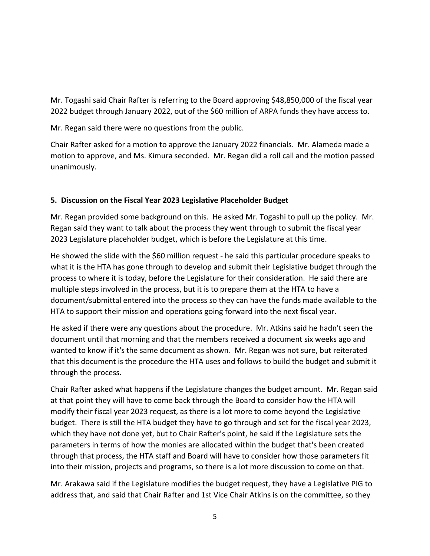Mr. Togashi said Chair Rafter is referring to the Board approving \$48,850,000 of the fiscal year 2022 budget through January 2022, out of the \$60 million of ARPA funds they have access to.

Mr. Regan said there were no questions from the public.

Chair Rafter asked for a motion to approve the January 2022 financials. Mr. Alameda made a motion to approve, and Ms. Kimura seconded. Mr. Regan did a roll call and the motion passed unanimously.

# **5. Discussion on the Fiscal Year 2023 Legislative Placeholder Budget**

Mr. Regan provided some background on this. He asked Mr. Togashi to pull up the policy. Mr. Regan said they want to talk about the process they went through to submit the fiscal year 2023 Legislature placeholder budget, which is before the Legislature at this time.

He showed the slide with the \$60 million request - he said this particular procedure speaks to what it is the HTA has gone through to develop and submit their Legislative budget through the process to where it is today, before the Legislature for their consideration. He said there are multiple steps involved in the process, but it is to prepare them at the HTA to have a document/submittal entered into the process so they can have the funds made available to the HTA to support their mission and operations going forward into the next fiscal year.

He asked if there were any questions about the procedure. Mr. Atkins said he hadn't seen the document until that morning and that the members received a document six weeks ago and wanted to know if it's the same document as shown. Mr. Regan was not sure, but reiterated that this document is the procedure the HTA uses and follows to build the budget and submit it through the process.

Chair Rafter asked what happens if the Legislature changes the budget amount. Mr. Regan said at that point they will have to come back through the Board to consider how the HTA will modify their fiscal year 2023 request, as there is a lot more to come beyond the Legislative budget. There is still the HTA budget they have to go through and set for the fiscal year 2023, which they have not done yet, but to Chair Rafter's point, he said if the Legislature sets the parameters in terms of how the monies are allocated within the budget that's been created through that process, the HTA staff and Board will have to consider how those parameters fit into their mission, projects and programs, so there is a lot more discussion to come on that.

Mr. Arakawa said if the Legislature modifies the budget request, they have a Legislative PIG to address that, and said that Chair Rafter and 1st Vice Chair Atkins is on the committee, so they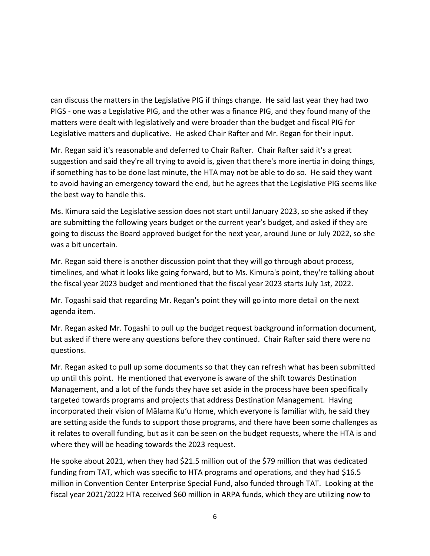can discuss the matters in the Legislative PIG if things change. He said last year they had two PIGS - one was a Legislative PIG, and the other was a finance PIG, and they found many of the matters were dealt with legislatively and were broader than the budget and fiscal PIG for Legislative matters and duplicative. He asked Chair Rafter and Mr. Regan for their input.

Mr. Regan said it's reasonable and deferred to Chair Rafter. Chair Rafter said it's a great suggestion and said they're all trying to avoid is, given that there's more inertia in doing things, if something has to be done last minute, the HTA may not be able to do so. He said they want to avoid having an emergency toward the end, but he agrees that the Legislative PIG seems like the best way to handle this.

Ms. Kimura said the Legislative session does not start until January 2023, so she asked if they are submitting the following years budget or the current year's budget, and asked if they are going to discuss the Board approved budget for the next year, around June or July 2022, so she was a bit uncertain.

Mr. Regan said there is another discussion point that they will go through about process, timelines, and what it looks like going forward, but to Ms. Kimura's point, they're talking about the fiscal year 2023 budget and mentioned that the fiscal year 2023 starts July 1st, 2022.

Mr. Togashi said that regarding Mr. Regan's point they will go into more detail on the next agenda item.

Mr. Regan asked Mr. Togashi to pull up the budget request background information document, but asked if there were any questions before they continued. Chair Rafter said there were no questions.

Mr. Regan asked to pull up some documents so that they can refresh what has been submitted up until this point. He mentioned that everyone is aware of the shift towards Destination Management, and a lot of the funds they have set aside in the process have been specifically targeted towards programs and projects that address Destination Management. Having incorporated their vision of Mālama Kuʻu Home, which everyone is familiar with, he said they are setting aside the funds to support those programs, and there have been some challenges as it relates to overall funding, but as it can be seen on the budget requests, where the HTA is and where they will be heading towards the 2023 request.

He spoke about 2021, when they had \$21.5 million out of the \$79 million that was dedicated funding from TAT, which was specific to HTA programs and operations, and they had \$16.5 million in Convention Center Enterprise Special Fund, also funded through TAT. Looking at the fiscal year 2021/2022 HTA received \$60 million in ARPA funds, which they are utilizing now to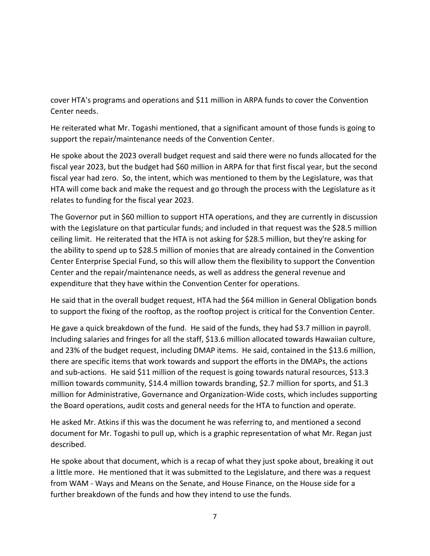cover HTA's programs and operations and \$11 million in ARPA funds to cover the Convention Center needs.

He reiterated what Mr. Togashi mentioned, that a significant amount of those funds is going to support the repair/maintenance needs of the Convention Center.

He spoke about the 2023 overall budget request and said there were no funds allocated for the fiscal year 2023, but the budget had \$60 million in ARPA for that first fiscal year, but the second fiscal year had zero. So, the intent, which was mentioned to them by the Legislature, was that HTA will come back and make the request and go through the process with the Legislature as it relates to funding for the fiscal year 2023.

The Governor put in \$60 million to support HTA operations, and they are currently in discussion with the Legislature on that particular funds; and included in that request was the \$28.5 million ceiling limit. He reiterated that the HTA is not asking for \$28.5 million, but they're asking for the ability to spend up to \$28.5 million of monies that are already contained in the Convention Center Enterprise Special Fund, so this will allow them the flexibility to support the Convention Center and the repair/maintenance needs, as well as address the general revenue and expenditure that they have within the Convention Center for operations.

He said that in the overall budget request, HTA had the \$64 million in General Obligation bonds to support the fixing of the rooftop, as the rooftop project is critical for the Convention Center.

He gave a quick breakdown of the fund. He said of the funds, they had \$3.7 million in payroll. Including salaries and fringes for all the staff, \$13.6 million allocated towards Hawaiian culture, and 23% of the budget request, including DMAP items. He said, contained in the \$13.6 million, there are specific items that work towards and support the efforts in the DMAPs, the actions and sub-actions. He said \$11 million of the request is going towards natural resources, \$13.3 million towards community, \$14.4 million towards branding, \$2.7 million for sports, and \$1.3 million for Administrative, Governance and Organization-Wide costs, which includes supporting the Board operations, audit costs and general needs for the HTA to function and operate.

He asked Mr. Atkins if this was the document he was referring to, and mentioned a second document for Mr. Togashi to pull up, which is a graphic representation of what Mr. Regan just described.

He spoke about that document, which is a recap of what they just spoke about, breaking it out a little more. He mentioned that it was submitted to the Legislature, and there was a request from WAM - Ways and Means on the Senate, and House Finance, on the House side for a further breakdown of the funds and how they intend to use the funds.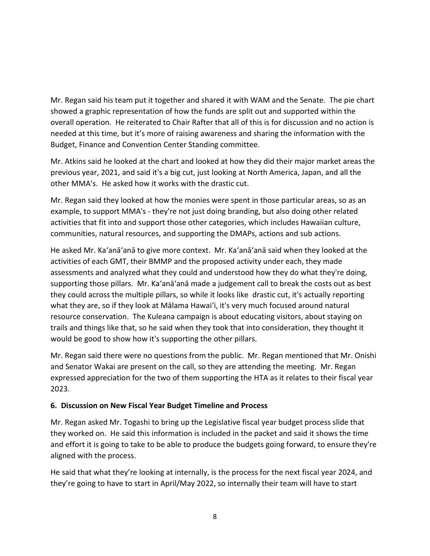Mr. Regan said his team put it together and shared it with WAM and the Senate. The pie chart showed a graphic representation of how the funds are split out and supported within the overall operation. He reiterated to Chair Rafter that all of this is for discussion and no action is needed at this time, but it's more of raising awareness and sharing the information with the Budget, Finance and Convention Center Standing committee.

Mr. Atkins said he looked at the chart and looked at how they did their major market areas the previous year, 2021, and said it's a big cut, just looking at North America, Japan, and all the other MMA's. He asked how it works with the drastic cut.

Mr. Regan said they looked at how the monies were spent in those particular areas, so as an example, to support MMA's - they're not just doing branding, but also doing other related activities that fit into and support those other categories, which includes Hawaiian culture, communities, natural resources, and supporting the DMAPs, actions and sub actions.

He asked Mr. Ka'anā'anā to give more context. Mr. Ka'anā'anā said when they looked at the activities of each GMT, their BMMP and the proposed activity under each, they made assessments and analyzed what they could and understood how they do what they're doing, supporting those pillars. Mr. Ka'anā'anā made a judgement call to break the costs out as best they could across the multiple pillars, so while it looks like drastic cut, it's actually reporting what they are, so if they look at Mālama Hawai'i, it's very much focused around natural resource conservation. The Kuleana campaign is about educating visitors, about staying on trails and things like that, so he said when they took that into consideration, they thought it would be good to show how it's supporting the other pillars.

Mr. Regan said there were no questions from the public. Mr. Regan mentioned that Mr. Onishi and Senator Wakai are present on the call, so they are attending the meeting. Mr. Regan expressed appreciation for the two of them supporting the HTA as it relates to their fiscal year 2023.

### **6. Discussion on New Fiscal Year Budget Timeline and Process**

Mr. Regan asked Mr. Togashi to bring up the Legislative fiscal year budget process slide that they worked on. He said this information is included in the packet and said it shows the time and effort it is going to take to be able to produce the budgets going forward, to ensure they're aligned with the process.

He said that what they're looking at internally, is the process for the next fiscal year 2024, and they're going to have to start in April/May 2022, so internally their team will have to start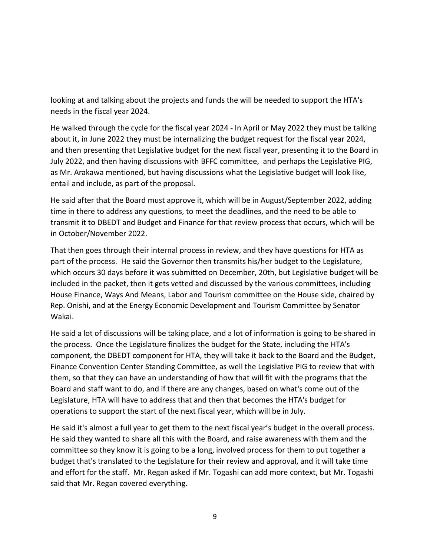looking at and talking about the projects and funds the will be needed to support the HTA's needs in the fiscal year 2024.

He walked through the cycle for the fiscal year 2024 - In April or May 2022 they must be talking about it, in June 2022 they must be internalizing the budget request for the fiscal year 2024, and then presenting that Legislative budget for the next fiscal year, presenting it to the Board in July 2022, and then having discussions with BFFC committee, and perhaps the Legislative PIG, as Mr. Arakawa mentioned, but having discussions what the Legislative budget will look like, entail and include, as part of the proposal.

He said after that the Board must approve it, which will be in August/September 2022, adding time in there to address any questions, to meet the deadlines, and the need to be able to transmit it to DBEDT and Budget and Finance for that review process that occurs, which will be in October/November 2022.

That then goes through their internal process in review, and they have questions for HTA as part of the process. He said the Governor then transmits his/her budget to the Legislature, which occurs 30 days before it was submitted on December, 20th, but Legislative budget will be included in the packet, then it gets vetted and discussed by the various committees, including House Finance, Ways And Means, Labor and Tourism committee on the House side, chaired by Rep. Onishi, and at the Energy Economic Development and Tourism Committee by Senator Wakai.

He said a lot of discussions will be taking place, and a lot of information is going to be shared in the process. Once the Legislature finalizes the budget for the State, including the HTA's component, the DBEDT component for HTA, they will take it back to the Board and the Budget, Finance Convention Center Standing Committee, as well the Legislative PIG to review that with them, so that they can have an understanding of how that will fit with the programs that the Board and staff want to do, and if there are any changes, based on what's come out of the Legislature, HTA will have to address that and then that becomes the HTA's budget for operations to support the start of the next fiscal year, which will be in July.

He said it's almost a full year to get them to the next fiscal year's budget in the overall process. He said they wanted to share all this with the Board, and raise awareness with them and the committee so they know it is going to be a long, involved process for them to put together a budget that's translated to the Legislature for their review and approval, and it will take time and effort for the staff. Mr. Regan asked if Mr. Togashi can add more context, but Mr. Togashi said that Mr. Regan covered everything.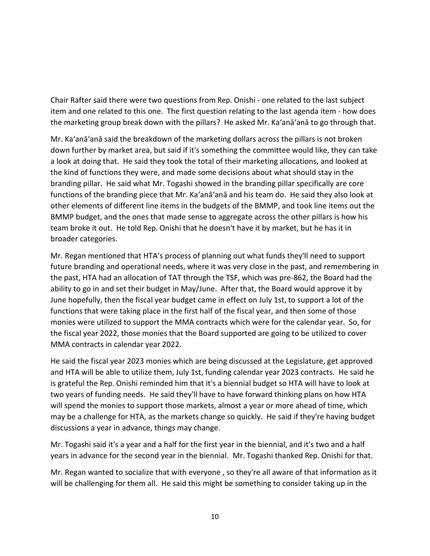Chair Rafter said there were two questions from Rep. Onishi - one related to the last subject item and one related to this one. The first question relating to the last agenda item - how does the marketing group break down with the pillars? He asked Mr. Ka'anā'anā to go through that.

Mr. Ka'anā'anā said the breakdown of the marketing dollars across the pillars is not broken down further by market area, but said if it's something the committee would like, they can take a look at doing that. He said they took the total of their marketing allocations, and looked at the kind of functions they were, and made some decisions about what should stay in the branding pillar. He said what Mr. Togashi showed in the branding pillar specifically are core functions of the branding piece that Mr. Ka'anā'anā and his team do. He said they also look at other elements of different line items in the budgets of the BMMP, and took line items out the BMMP budget, and the ones that made sense to aggregate across the other pillars is how his team broke it out. He told Rep. Onishi that he doesn't have it by market, but he has it in broader categories.

Mr. Regan mentioned that HTA's process of planning out what funds they'll need to support future branding and operational needs, where it was very close in the past, and remembering in the past, HTA had an allocation of TAT through the TSF, which was pre-862, the Board had the ability to go in and set their budget in May/June. After that, the Board would approve it by June hopefully, then the fiscal year budget came in effect on July 1st, to support a lot of the functions that were taking place in the first half of the fiscal year, and then some of those monies were utilized to support the MMA contracts which were for the calendar year. So, for the fiscal year 2022, those monies that the Board supported are going to be utilized to cover MMA contracts in calendar year 2022.

He said the fiscal year 2023 monies which are being discussed at the Legislature, get approved and HTA will be able to utilize them, July 1st, funding calendar year 2023 contracts. He said he is grateful the Rep. Onishi reminded him that it's a biennial budget so HTA will have to look at two years of funding needs. He said they'll have to have forward thinking plans on how HTA will spend the monies to support those markets, almost a year or more ahead of time, which may be a challenge for HTA, as the markets change so quickly. He said if they're having budget discussions a year in advance, things may change.

Mr. Togashi said it's a year and a half for the first year in the biennial, and it's two and a half years in advance for the second year in the biennial. Mr. Togashi thanked Rep. Onishi for that.

Mr. Regan wanted to socialize that with everyone , so they're all aware of that information as it will be challenging for them all. He said this might be something to consider taking up in the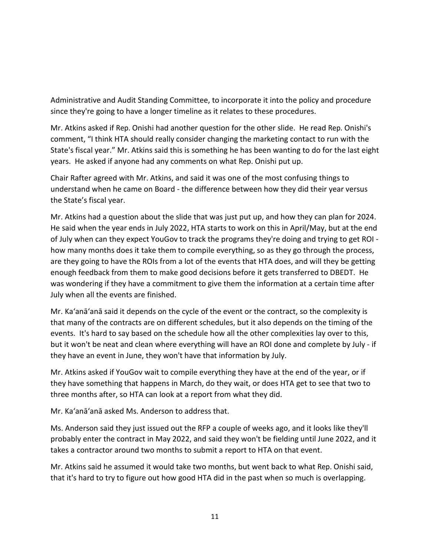Administrative and Audit Standing Committee, to incorporate it into the policy and procedure since they're going to have a longer timeline as it relates to these procedures.

Mr. Atkins asked if Rep. Onishi had another question for the other slide. He read Rep. Onishi's comment, "I think HTA should really consider changing the marketing contact to run with the State's fiscal year." Mr. Atkins said this is something he has been wanting to do for the last eight years. He asked if anyone had any comments on what Rep. Onishi put up.

Chair Rafter agreed with Mr. Atkins, and said it was one of the most confusing things to understand when he came on Board - the difference between how they did their year versus the State's fiscal year.

Mr. Atkins had a question about the slide that was just put up, and how they can plan for 2024. He said when the year ends in July 2022, HTA starts to work on this in April/May, but at the end of July when can they expect YouGov to track the programs they're doing and trying to get ROI how many months does it take them to compile everything, so as they go through the process, are they going to have the ROIs from a lot of the events that HTA does, and will they be getting enough feedback from them to make good decisions before it gets transferred to DBEDT. He was wondering if they have a commitment to give them the information at a certain time after July when all the events are finished.

Mr. Ka'anā'anā said it depends on the cycle of the event or the contract, so the complexity is that many of the contracts are on different schedules, but it also depends on the timing of the events. It's hard to say based on the schedule how all the other complexities lay over to this, but it won't be neat and clean where everything will have an ROI done and complete by July - if they have an event in June, they won't have that information by July.

Mr. Atkins asked if YouGov wait to compile everything they have at the end of the year, or if they have something that happens in March, do they wait, or does HTA get to see that two to three months after, so HTA can look at a report from what they did.

Mr. Ka'anā'anā asked Ms. Anderson to address that.

Ms. Anderson said they just issued out the RFP a couple of weeks ago, and it looks like they'll probably enter the contract in May 2022, and said they won't be fielding until June 2022, and it takes a contractor around two months to submit a report to HTA on that event.

Mr. Atkins said he assumed it would take two months, but went back to what Rep. Onishi said, that it's hard to try to figure out how good HTA did in the past when so much is overlapping.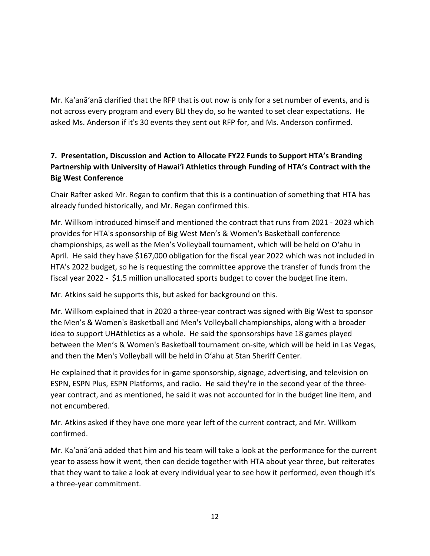Mr. Ka'anā'anā clarified that the RFP that is out now is only for a set number of events, and is not across every program and every BLI they do, so he wanted to set clear expectations. He asked Ms. Anderson if it's 30 events they sent out RFP for, and Ms. Anderson confirmed.

# **7. Presentation, Discussion and Action to Allocate FY22 Funds to Support HTA's Branding Partnership with University of Hawaiʻi Athletics through Funding of HTA's Contract with the Big West Conference**

Chair Rafter asked Mr. Regan to confirm that this is a continuation of something that HTA has already funded historically, and Mr. Regan confirmed this.

Mr. Willkom introduced himself and mentioned the contract that runs from 2021 - 2023 which provides for HTA's sponsorship of Big West Men's & Women's Basketball conference championships, as well as the Men's Volleyball tournament, which will be held on O'ahu in April. He said they have \$167,000 obligation for the fiscal year 2022 which was not included in HTA's 2022 budget, so he is requesting the committee approve the transfer of funds from the fiscal year 2022 - \$1.5 million unallocated sports budget to cover the budget line item.

Mr. Atkins said he supports this, but asked for background on this.

Mr. Willkom explained that in 2020 a three-year contract was signed with Big West to sponsor the Men's & Women's Basketball and Men's Volleyball championships, along with a broader idea to support UHAthletics as a whole. He said the sponsorships have 18 games played between the Men's & Women's Basketball tournament on-site, which will be held in Las Vegas, and then the Men's Volleyball will be held in O'ahu at Stan Sheriff Center.

He explained that it provides for in-game sponsorship, signage, advertising, and television on ESPN, ESPN Plus, ESPN Platforms, and radio. He said they're in the second year of the threeyear contract, and as mentioned, he said it was not accounted for in the budget line item, and not encumbered.

Mr. Atkins asked if they have one more year left of the current contract, and Mr. Willkom confirmed.

Mr. Ka'anā'anā added that him and his team will take a look at the performance for the current year to assess how it went, then can decide together with HTA about year three, but reiterates that they want to take a look at every individual year to see how it performed, even though it's a three-year commitment.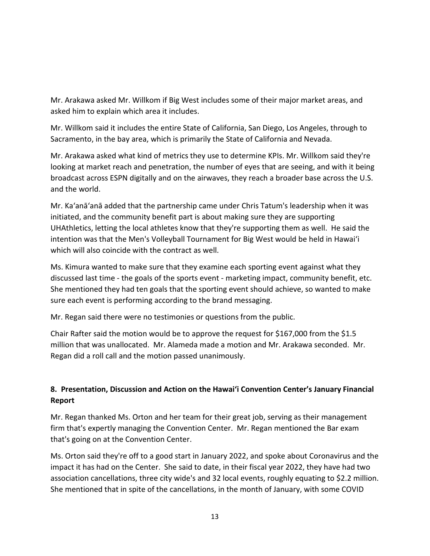Mr. Arakawa asked Mr. Willkom if Big West includes some of their major market areas, and asked him to explain which area it includes.

Mr. Willkom said it includes the entire State of California, San Diego, Los Angeles, through to Sacramento, in the bay area, which is primarily the State of California and Nevada.

Mr. Arakawa asked what kind of metrics they use to determine KPIs. Mr. Willkom said they're looking at market reach and penetration, the number of eyes that are seeing, and with it being broadcast across ESPN digitally and on the airwaves, they reach a broader base across the U.S. and the world.

Mr. Ka'anā'anā added that the partnership came under Chris Tatum's leadership when it was initiated, and the community benefit part is about making sure they are supporting UHAthletics, letting the local athletes know that they're supporting them as well. He said the intention was that the Men's Volleyball Tournament for Big West would be held in Hawai'i which will also coincide with the contract as well.

Ms. Kimura wanted to make sure that they examine each sporting event against what they discussed last time - the goals of the sports event - marketing impact, community benefit, etc. She mentioned they had ten goals that the sporting event should achieve, so wanted to make sure each event is performing according to the brand messaging.

Mr. Regan said there were no testimonies or questions from the public.

Chair Rafter said the motion would be to approve the request for \$167,000 from the \$1.5 million that was unallocated. Mr. Alameda made a motion and Mr. Arakawa seconded. Mr. Regan did a roll call and the motion passed unanimously.

# **8. Presentation, Discussion and Action on the Hawai'i Convention Center's January Financial Report**

Mr. Regan thanked Ms. Orton and her team for their great job, serving as their management firm that's expertly managing the Convention Center. Mr. Regan mentioned the Bar exam that's going on at the Convention Center.

Ms. Orton said they're off to a good start in January 2022, and spoke about Coronavirus and the impact it has had on the Center. She said to date, in their fiscal year 2022, they have had two association cancellations, three city wide's and 32 local events, roughly equating to \$2.2 million. She mentioned that in spite of the cancellations, in the month of January, with some COVID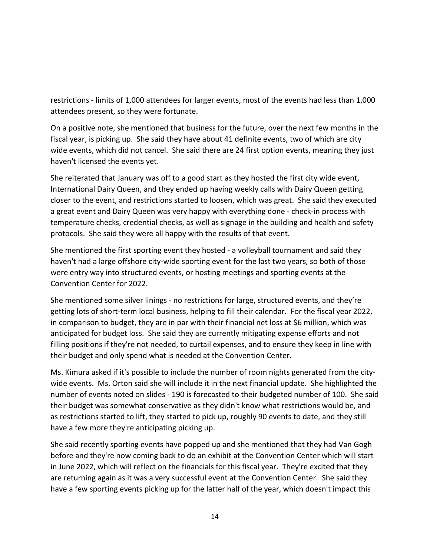restrictions - limits of 1,000 attendees for larger events, most of the events had less than 1,000 attendees present, so they were fortunate.

On a positive note, she mentioned that business for the future, over the next few months in the fiscal year, is picking up. She said they have about 41 definite events, two of which are city wide events, which did not cancel. She said there are 24 first option events, meaning they just haven't licensed the events yet.

She reiterated that January was off to a good start as they hosted the first city wide event, International Dairy Queen, and they ended up having weekly calls with Dairy Queen getting closer to the event, and restrictions started to loosen, which was great. She said they executed a great event and Dairy Queen was very happy with everything done - check-in process with temperature checks, credential checks, as well as signage in the building and health and safety protocols. She said they were all happy with the results of that event.

She mentioned the first sporting event they hosted - a volleyball tournament and said they haven't had a large offshore city-wide sporting event for the last two years, so both of those were entry way into structured events, or hosting meetings and sporting events at the Convention Center for 2022.

She mentioned some silver linings - no restrictions for large, structured events, and they're getting lots of short-term local business, helping to fill their calendar. For the fiscal year 2022, in comparison to budget, they are in par with their financial net loss at \$6 million, which was anticipated for budget loss. She said they are currently mitigating expense efforts and not filling positions if they're not needed, to curtail expenses, and to ensure they keep in line with their budget and only spend what is needed at the Convention Center.

Ms. Kimura asked if it's possible to include the number of room nights generated from the citywide events. Ms. Orton said she will include it in the next financial update. She highlighted the number of events noted on slides - 190 is forecasted to their budgeted number of 100. She said their budget was somewhat conservative as they didn't know what restrictions would be, and as restrictions started to lift, they started to pick up, roughly 90 events to date, and they still have a few more they're anticipating picking up.

She said recently sporting events have popped up and she mentioned that they had Van Gogh before and they're now coming back to do an exhibit at the Convention Center which will start in June 2022, which will reflect on the financials for this fiscal year. They're excited that they are returning again as it was a very successful event at the Convention Center. She said they have a few sporting events picking up for the latter half of the year, which doesn't impact this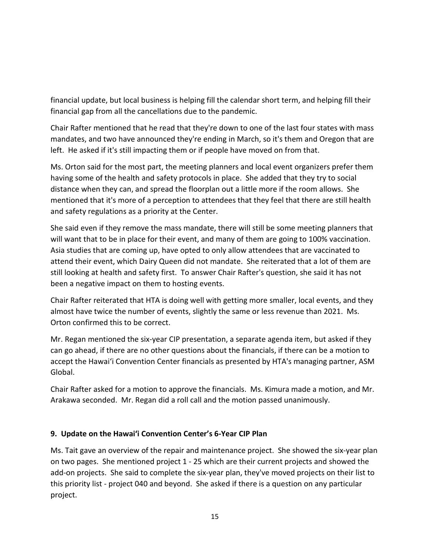financial update, but local business is helping fill the calendar short term, and helping fill their financial gap from all the cancellations due to the pandemic.

Chair Rafter mentioned that he read that they're down to one of the last four states with mass mandates, and two have announced they're ending in March, so it's them and Oregon that are left. He asked if it's still impacting them or if people have moved on from that.

Ms. Orton said for the most part, the meeting planners and local event organizers prefer them having some of the health and safety protocols in place. She added that they try to social distance when they can, and spread the floorplan out a little more if the room allows. She mentioned that it's more of a perception to attendees that they feel that there are still health and safety regulations as a priority at the Center.

She said even if they remove the mass mandate, there will still be some meeting planners that will want that to be in place for their event, and many of them are going to 100% vaccination. Asia studies that are coming up, have opted to only allow attendees that are vaccinated to attend their event, which Dairy Queen did not mandate. She reiterated that a lot of them are still looking at health and safety first. To answer Chair Rafter's question, she said it has not been a negative impact on them to hosting events.

Chair Rafter reiterated that HTA is doing well with getting more smaller, local events, and they almost have twice the number of events, slightly the same or less revenue than 2021. Ms. Orton confirmed this to be correct.

Mr. Regan mentioned the six-year CIP presentation, a separate agenda item, but asked if they can go ahead, if there are no other questions about the financials, if there can be a motion to accept the Hawai'i Convention Center financials as presented by HTA's managing partner, ASM Global.

Chair Rafter asked for a motion to approve the financials. Ms. Kimura made a motion, and Mr. Arakawa seconded. Mr. Regan did a roll call and the motion passed unanimously.

### **9. Update on the Hawai'i Convention Center's 6-Year CIP Plan**

Ms. Tait gave an overview of the repair and maintenance project. She showed the six-year plan on two pages. She mentioned project 1 - 25 which are their current projects and showed the add-on projects. She said to complete the six-year plan, they've moved projects on their list to this priority list - project 040 and beyond. She asked if there is a question on any particular project.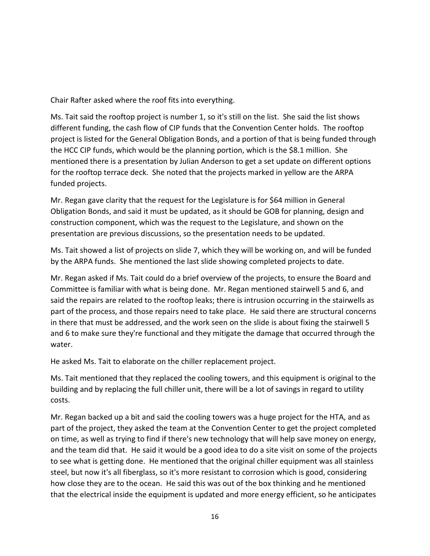Chair Rafter asked where the roof fits into everything.

Ms. Tait said the rooftop project is number 1, so it's still on the list. She said the list shows different funding, the cash flow of CIP funds that the Convention Center holds. The rooftop project is listed for the General Obligation Bonds, and a portion of that is being funded through the HCC CIP funds, which would be the planning portion, which is the \$8.1 million. She mentioned there is a presentation by Julian Anderson to get a set update on different options for the rooftop terrace deck. She noted that the projects marked in yellow are the ARPA funded projects.

Mr. Regan gave clarity that the request for the Legislature is for \$64 million in General Obligation Bonds, and said it must be updated, as it should be GOB for planning, design and construction component, which was the request to the Legislature, and shown on the presentation are previous discussions, so the presentation needs to be updated.

Ms. Tait showed a list of projects on slide 7, which they will be working on, and will be funded by the ARPA funds. She mentioned the last slide showing completed projects to date.

Mr. Regan asked if Ms. Tait could do a brief overview of the projects, to ensure the Board and Committee is familiar with what is being done. Mr. Regan mentioned stairwell 5 and 6, and said the repairs are related to the rooftop leaks; there is intrusion occurring in the stairwells as part of the process, and those repairs need to take place. He said there are structural concerns in there that must be addressed, and the work seen on the slide is about fixing the stairwell 5 and 6 to make sure they're functional and they mitigate the damage that occurred through the water.

He asked Ms. Tait to elaborate on the chiller replacement project.

Ms. Tait mentioned that they replaced the cooling towers, and this equipment is original to the building and by replacing the full chiller unit, there will be a lot of savings in regard to utility costs.

Mr. Regan backed up a bit and said the cooling towers was a huge project for the HTA, and as part of the project, they asked the team at the Convention Center to get the project completed on time, as well as trying to find if there's new technology that will help save money on energy, and the team did that. He said it would be a good idea to do a site visit on some of the projects to see what is getting done. He mentioned that the original chiller equipment was all stainless steel, but now it's all fiberglass, so it's more resistant to corrosion which is good, considering how close they are to the ocean. He said this was out of the box thinking and he mentioned that the electrical inside the equipment is updated and more energy efficient, so he anticipates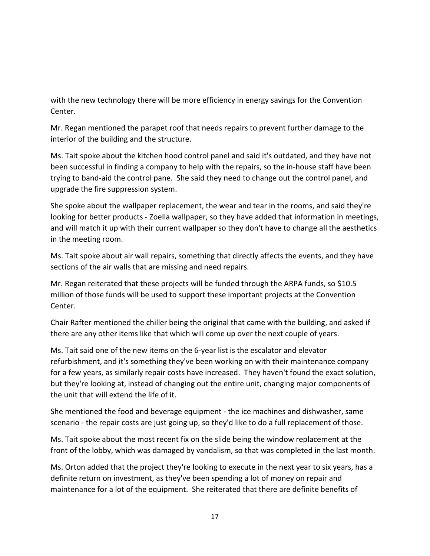with the new technology there will be more efficiency in energy savings for the Convention Center.

Mr. Regan mentioned the parapet roof that needs repairs to prevent further damage to the interior of the building and the structure.

Ms. Tait spoke about the kitchen hood control panel and said it's outdated, and they have not been successful in finding a company to help with the repairs, so the in-house staff have been trying to band-aid the control pane. She said they need to change out the control panel, and upgrade the fire suppression system.

She spoke about the wallpaper replacement, the wear and tear in the rooms, and said they're looking for better products - Zoella wallpaper, so they have added that information in meetings, and will match it up with their current wallpaper so they don't have to change all the aesthetics in the meeting room.

Ms. Tait spoke about air wall repairs, something that directly affects the events, and they have sections of the air walls that are missing and need repairs.

Mr. Regan reiterated that these projects will be funded through the ARPA funds, so \$10.5 million of those funds will be used to support these important projects at the Convention Center.

Chair Rafter mentioned the chiller being the original that came with the building, and asked if there are any other items like that which will come up over the next couple of years.

Ms. Tait said one of the new items on the 6-year list is the escalator and elevator refurbishment, and it's something they've been working on with their maintenance company for a few years, as similarly repair costs have increased. They haven't found the exact solution, but they're looking at, instead of changing out the entire unit, changing major components of the unit that will extend the life of it.

She mentioned the food and beverage equipment - the ice machines and dishwasher, same scenario - the repair costs are just going up, so they'd like to do a full replacement of those.

Ms. Tait spoke about the most recent fix on the slide being the window replacement at the front of the lobby, which was damaged by vandalism, so that was completed in the last month.

Ms. Orton added that the project they're looking to execute in the next year to six years, has a definite return on investment, as they've been spending a lot of money on repair and maintenance for a lot of the equipment. She reiterated that there are definite benefits of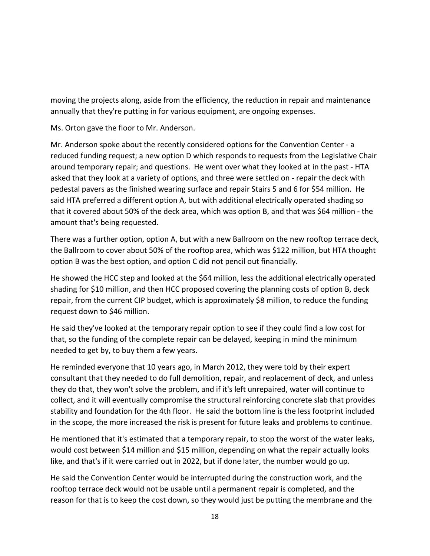moving the projects along, aside from the efficiency, the reduction in repair and maintenance annually that they're putting in for various equipment, are ongoing expenses.

Ms. Orton gave the floor to Mr. Anderson.

Mr. Anderson spoke about the recently considered options for the Convention Center - a reduced funding request; a new option D which responds to requests from the Legislative Chair around temporary repair; and questions. He went over what they looked at in the past - HTA asked that they look at a variety of options, and three were settled on - repair the deck with pedestal pavers as the finished wearing surface and repair Stairs 5 and 6 for \$54 million. He said HTA preferred a different option A, but with additional electrically operated shading so that it covered about 50% of the deck area, which was option B, and that was \$64 million - the amount that's being requested.

There was a further option, option A, but with a new Ballroom on the new rooftop terrace deck, the Ballroom to cover about 50% of the rooftop area, which was \$122 million, but HTA thought option B was the best option, and option C did not pencil out financially.

He showed the HCC step and looked at the \$64 million, less the additional electrically operated shading for \$10 million, and then HCC proposed covering the planning costs of option B, deck repair, from the current CIP budget, which is approximately \$8 million, to reduce the funding request down to \$46 million.

He said they've looked at the temporary repair option to see if they could find a low cost for that, so the funding of the complete repair can be delayed, keeping in mind the minimum needed to get by, to buy them a few years.

He reminded everyone that 10 years ago, in March 2012, they were told by their expert consultant that they needed to do full demolition, repair, and replacement of deck, and unless they do that, they won't solve the problem, and if it's left unrepaired, water will continue to collect, and it will eventually compromise the structural reinforcing concrete slab that provides stability and foundation for the 4th floor. He said the bottom line is the less footprint included in the scope, the more increased the risk is present for future leaks and problems to continue.

He mentioned that it's estimated that a temporary repair, to stop the worst of the water leaks, would cost between \$14 million and \$15 million, depending on what the repair actually looks like, and that's if it were carried out in 2022, but if done later, the number would go up.

He said the Convention Center would be interrupted during the construction work, and the rooftop terrace deck would not be usable until a permanent repair is completed, and the reason for that is to keep the cost down, so they would just be putting the membrane and the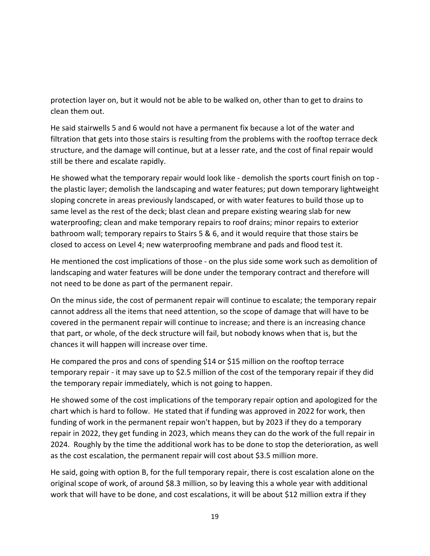protection layer on, but it would not be able to be walked on, other than to get to drains to clean them out.

He said stairwells 5 and 6 would not have a permanent fix because a lot of the water and filtration that gets into those stairs is resulting from the problems with the rooftop terrace deck structure, and the damage will continue, but at a lesser rate, and the cost of final repair would still be there and escalate rapidly.

He showed what the temporary repair would look like - demolish the sports court finish on top the plastic layer; demolish the landscaping and water features; put down temporary lightweight sloping concrete in areas previously landscaped, or with water features to build those up to same level as the rest of the deck; blast clean and prepare existing wearing slab for new waterproofing; clean and make temporary repairs to roof drains; minor repairs to exterior bathroom wall; temporary repairs to Stairs 5 & 6, and it would require that those stairs be closed to access on Level 4; new waterproofing membrane and pads and flood test it.

He mentioned the cost implications of those - on the plus side some work such as demolition of landscaping and water features will be done under the temporary contract and therefore will not need to be done as part of the permanent repair.

On the minus side, the cost of permanent repair will continue to escalate; the temporary repair cannot address all the items that need attention, so the scope of damage that will have to be covered in the permanent repair will continue to increase; and there is an increasing chance that part, or whole, of the deck structure will fail, but nobody knows when that is, but the chances it will happen will increase over time.

He compared the pros and cons of spending \$14 or \$15 million on the rooftop terrace temporary repair - it may save up to \$2.5 million of the cost of the temporary repair if they did the temporary repair immediately, which is not going to happen.

He showed some of the cost implications of the temporary repair option and apologized for the chart which is hard to follow. He stated that if funding was approved in 2022 for work, then funding of work in the permanent repair won't happen, but by 2023 if they do a temporary repair in 2022, they get funding in 2023, which means they can do the work of the full repair in 2024. Roughly by the time the additional work has to be done to stop the deterioration, as well as the cost escalation, the permanent repair will cost about \$3.5 million more.

He said, going with option B, for the full temporary repair, there is cost escalation alone on the original scope of work, of around \$8.3 million, so by leaving this a whole year with additional work that will have to be done, and cost escalations, it will be about \$12 million extra if they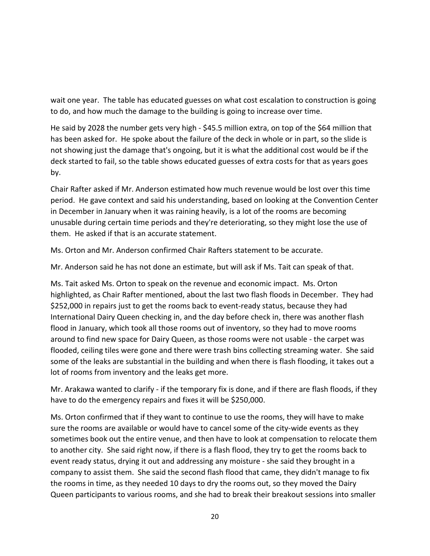wait one year. The table has educated guesses on what cost escalation to construction is going to do, and how much the damage to the building is going to increase over time.

He said by 2028 the number gets very high - \$45.5 million extra, on top of the \$64 million that has been asked for. He spoke about the failure of the deck in whole or in part, so the slide is not showing just the damage that's ongoing, but it is what the additional cost would be if the deck started to fail, so the table shows educated guesses of extra costs for that as years goes by.

Chair Rafter asked if Mr. Anderson estimated how much revenue would be lost over this time period. He gave context and said his understanding, based on looking at the Convention Center in December in January when it was raining heavily, is a lot of the rooms are becoming unusable during certain time periods and they're deteriorating, so they might lose the use of them. He asked if that is an accurate statement.

Ms. Orton and Mr. Anderson confirmed Chair Rafters statement to be accurate.

Mr. Anderson said he has not done an estimate, but will ask if Ms. Tait can speak of that.

Ms. Tait asked Ms. Orton to speak on the revenue and economic impact. Ms. Orton highlighted, as Chair Rafter mentioned, about the last two flash floods in December. They had \$252,000 in repairs just to get the rooms back to event-ready status, because they had International Dairy Queen checking in, and the day before check in, there was another flash flood in January, which took all those rooms out of inventory, so they had to move rooms around to find new space for Dairy Queen, as those rooms were not usable - the carpet was flooded, ceiling tiles were gone and there were trash bins collecting streaming water. She said some of the leaks are substantial in the building and when there is flash flooding, it takes out a lot of rooms from inventory and the leaks get more.

Mr. Arakawa wanted to clarify - if the temporary fix is done, and if there are flash floods, if they have to do the emergency repairs and fixes it will be \$250,000.

Ms. Orton confirmed that if they want to continue to use the rooms, they will have to make sure the rooms are available or would have to cancel some of the city-wide events as they sometimes book out the entire venue, and then have to look at compensation to relocate them to another city. She said right now, if there is a flash flood, they try to get the rooms back to event ready status, drying it out and addressing any moisture - she said they brought in a company to assist them. She said the second flash flood that came, they didn't manage to fix the rooms in time, as they needed 10 days to dry the rooms out, so they moved the Dairy Queen participants to various rooms, and she had to break their breakout sessions into smaller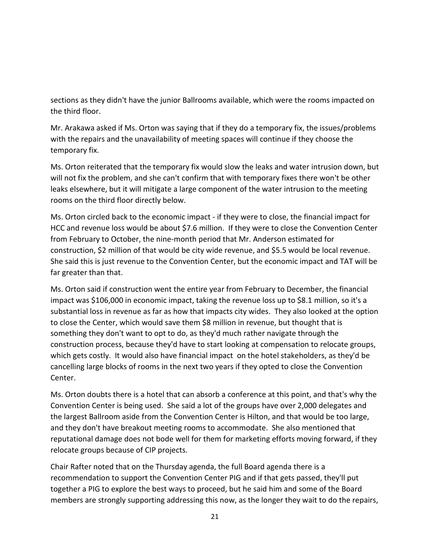sections as they didn't have the junior Ballrooms available, which were the rooms impacted on the third floor.

Mr. Arakawa asked if Ms. Orton was saying that if they do a temporary fix, the issues/problems with the repairs and the unavailability of meeting spaces will continue if they choose the temporary fix.

Ms. Orton reiterated that the temporary fix would slow the leaks and water intrusion down, but will not fix the problem, and she can't confirm that with temporary fixes there won't be other leaks elsewhere, but it will mitigate a large component of the water intrusion to the meeting rooms on the third floor directly below.

Ms. Orton circled back to the economic impact - if they were to close, the financial impact for HCC and revenue loss would be about \$7.6 million. If they were to close the Convention Center from February to October, the nine-month period that Mr. Anderson estimated for construction, \$2 million of that would be city wide revenue, and \$5.5 would be local revenue. She said this is just revenue to the Convention Center, but the economic impact and TAT will be far greater than that.

Ms. Orton said if construction went the entire year from February to December, the financial impact was \$106,000 in economic impact, taking the revenue loss up to \$8.1 million, so it's a substantial loss in revenue as far as how that impacts city wides. They also looked at the option to close the Center, which would save them \$8 million in revenue, but thought that is something they don't want to opt to do, as they'd much rather navigate through the construction process, because they'd have to start looking at compensation to relocate groups, which gets costly. It would also have financial impact on the hotel stakeholders, as they'd be cancelling large blocks of rooms in the next two years if they opted to close the Convention Center.

Ms. Orton doubts there is a hotel that can absorb a conference at this point, and that's why the Convention Center is being used. She said a lot of the groups have over 2,000 delegates and the largest Ballroom aside from the Convention Center is Hilton, and that would be too large, and they don't have breakout meeting rooms to accommodate. She also mentioned that reputational damage does not bode well for them for marketing efforts moving forward, if they relocate groups because of CIP projects.

Chair Rafter noted that on the Thursday agenda, the full Board agenda there is a recommendation to support the Convention Center PIG and if that gets passed, they'll put together a PIG to explore the best ways to proceed, but he said him and some of the Board members are strongly supporting addressing this now, as the longer they wait to do the repairs,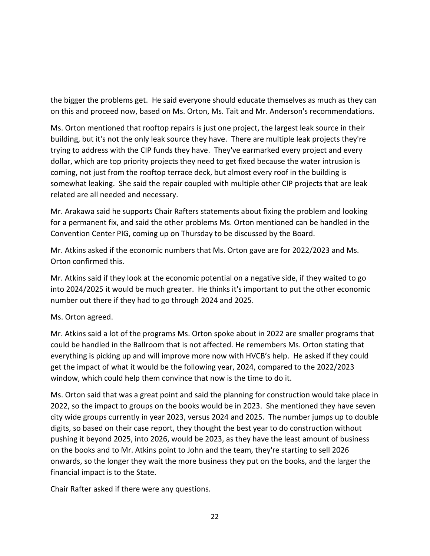the bigger the problems get. He said everyone should educate themselves as much as they can on this and proceed now, based on Ms. Orton, Ms. Tait and Mr. Anderson's recommendations.

Ms. Orton mentioned that rooftop repairs is just one project, the largest leak source in their building, but it's not the only leak source they have. There are multiple leak projects they're trying to address with the CIP funds they have. They've earmarked every project and every dollar, which are top priority projects they need to get fixed because the water intrusion is coming, not just from the rooftop terrace deck, but almost every roof in the building is somewhat leaking. She said the repair coupled with multiple other CIP projects that are leak related are all needed and necessary.

Mr. Arakawa said he supports Chair Rafters statements about fixing the problem and looking for a permanent fix, and said the other problems Ms. Orton mentioned can be handled in the Convention Center PIG, coming up on Thursday to be discussed by the Board.

Mr. Atkins asked if the economic numbers that Ms. Orton gave are for 2022/2023 and Ms. Orton confirmed this.

Mr. Atkins said if they look at the economic potential on a negative side, if they waited to go into 2024/2025 it would be much greater. He thinks it's important to put the other economic number out there if they had to go through 2024 and 2025.

### Ms. Orton agreed.

Mr. Atkins said a lot of the programs Ms. Orton spoke about in 2022 are smaller programs that could be handled in the Ballroom that is not affected. He remembers Ms. Orton stating that everything is picking up and will improve more now with HVCB's help. He asked if they could get the impact of what it would be the following year, 2024, compared to the 2022/2023 window, which could help them convince that now is the time to do it.

Ms. Orton said that was a great point and said the planning for construction would take place in 2022, so the impact to groups on the books would be in 2023. She mentioned they have seven city wide groups currently in year 2023, versus 2024 and 2025. The number jumps up to double digits, so based on their case report, they thought the best year to do construction without pushing it beyond 2025, into 2026, would be 2023, as they have the least amount of business on the books and to Mr. Atkins point to John and the team, they're starting to sell 2026 onwards, so the longer they wait the more business they put on the books, and the larger the financial impact is to the State.

Chair Rafter asked if there were any questions.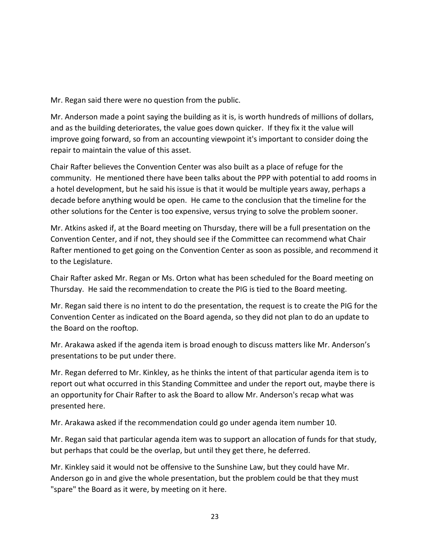Mr. Regan said there were no question from the public.

Mr. Anderson made a point saying the building as it is, is worth hundreds of millions of dollars, and as the building deteriorates, the value goes down quicker. If they fix it the value will improve going forward, so from an accounting viewpoint it's important to consider doing the repair to maintain the value of this asset.

Chair Rafter believes the Convention Center was also built as a place of refuge for the community. He mentioned there have been talks about the PPP with potential to add rooms in a hotel development, but he said his issue is that it would be multiple years away, perhaps a decade before anything would be open. He came to the conclusion that the timeline for the other solutions for the Center is too expensive, versus trying to solve the problem sooner.

Mr. Atkins asked if, at the Board meeting on Thursday, there will be a full presentation on the Convention Center, and if not, they should see if the Committee can recommend what Chair Rafter mentioned to get going on the Convention Center as soon as possible, and recommend it to the Legislature.

Chair Rafter asked Mr. Regan or Ms. Orton what has been scheduled for the Board meeting on Thursday. He said the recommendation to create the PIG is tied to the Board meeting.

Mr. Regan said there is no intent to do the presentation, the request is to create the PIG for the Convention Center as indicated on the Board agenda, so they did not plan to do an update to the Board on the rooftop.

Mr. Arakawa asked if the agenda item is broad enough to discuss matters like Mr. Anderson's presentations to be put under there.

Mr. Regan deferred to Mr. Kinkley, as he thinks the intent of that particular agenda item is to report out what occurred in this Standing Committee and under the report out, maybe there is an opportunity for Chair Rafter to ask the Board to allow Mr. Anderson's recap what was presented here.

Mr. Arakawa asked if the recommendation could go under agenda item number 10.

Mr. Regan said that particular agenda item was to support an allocation of funds for that study, but perhaps that could be the overlap, but until they get there, he deferred.

Mr. Kinkley said it would not be offensive to the Sunshine Law, but they could have Mr. Anderson go in and give the whole presentation, but the problem could be that they must "spare" the Board as it were, by meeting on it here.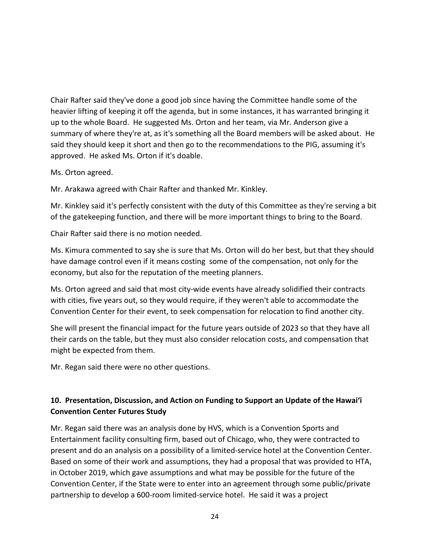Chair Rafter said they've done a good job since having the Committee handle some of the heavier lifting of keeping it off the agenda, but in some instances, it has warranted bringing it up to the whole Board. He suggested Ms. Orton and her team, via Mr. Anderson give a summary of where they're at, as it's something all the Board members will be asked about. He said they should keep it short and then go to the recommendations to the PIG, assuming it's approved. He asked Ms. Orton if it's doable.

### Ms. Orton agreed.

Mr. Arakawa agreed with Chair Rafter and thanked Mr. Kinkley.

Mr. Kinkley said it's perfectly consistent with the duty of this Committee as they're serving a bit of the gatekeeping function, and there will be more important things to bring to the Board.

Chair Rafter said there is no motion needed.

Ms. Kimura commented to say she is sure that Ms. Orton will do her best, but that they should have damage control even if it means costing some of the compensation, not only for the economy, but also for the reputation of the meeting planners.

Ms. Orton agreed and said that most city-wide events have already solidified their contracts with cities, five years out, so they would require, if they weren't able to accommodate the Convention Center for their event, to seek compensation for relocation to find another city.

She will present the financial impact for the future years outside of 2023 so that they have all their cards on the table, but they must also consider relocation costs, and compensation that might be expected from them.

Mr. Regan said there were no other questions.

# **10. Presentation, Discussion, and Action on Funding to Support an Update of the Hawai'i Convention Center Futures Study**

Mr. Regan said there was an analysis done by HVS, which is a Convention Sports and Entertainment facility consulting firm, based out of Chicago, who, they were contracted to present and do an analysis on a possibility of a limited-service hotel at the Convention Center. Based on some of their work and assumptions, they had a proposal that was provided to HTA, in October 2019, which gave assumptions and what may be possible for the future of the Convention Center, if the State were to enter into an agreement through some public/private partnership to develop a 600-room limited-service hotel. He said it was a project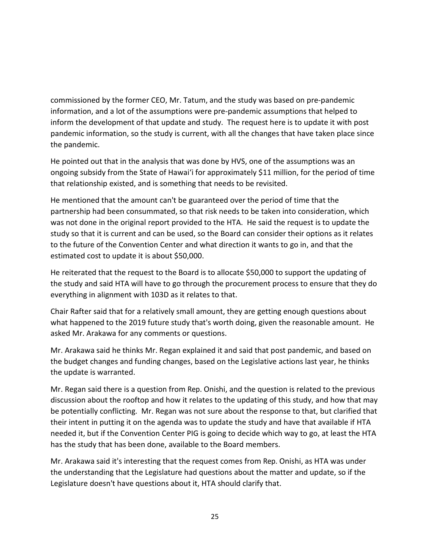commissioned by the former CEO, Mr. Tatum, and the study was based on pre-pandemic information, and a lot of the assumptions were pre-pandemic assumptions that helped to inform the development of that update and study. The request here is to update it with post pandemic information, so the study is current, with all the changes that have taken place since the pandemic.

He pointed out that in the analysis that was done by HVS, one of the assumptions was an ongoing subsidy from the State of Hawai'i for approximately \$11 million, for the period of time that relationship existed, and is something that needs to be revisited.

He mentioned that the amount can't be guaranteed over the period of time that the partnership had been consummated, so that risk needs to be taken into consideration, which was not done in the original report provided to the HTA. He said the request is to update the study so that it is current and can be used, so the Board can consider their options as it relates to the future of the Convention Center and what direction it wants to go in, and that the estimated cost to update it is about \$50,000.

He reiterated that the request to the Board is to allocate \$50,000 to support the updating of the study and said HTA will have to go through the procurement process to ensure that they do everything in alignment with 103D as it relates to that.

Chair Rafter said that for a relatively small amount, they are getting enough questions about what happened to the 2019 future study that's worth doing, given the reasonable amount. He asked Mr. Arakawa for any comments or questions.

Mr. Arakawa said he thinks Mr. Regan explained it and said that post pandemic, and based on the budget changes and funding changes, based on the Legislative actions last year, he thinks the update is warranted.

Mr. Regan said there is a question from Rep. Onishi, and the question is related to the previous discussion about the rooftop and how it relates to the updating of this study, and how that may be potentially conflicting. Mr. Regan was not sure about the response to that, but clarified that their intent in putting it on the agenda was to update the study and have that available if HTA needed it, but if the Convention Center PIG is going to decide which way to go, at least the HTA has the study that has been done, available to the Board members.

Mr. Arakawa said it's interesting that the request comes from Rep. Onishi, as HTA was under the understanding that the Legislature had questions about the matter and update, so if the Legislature doesn't have questions about it, HTA should clarify that.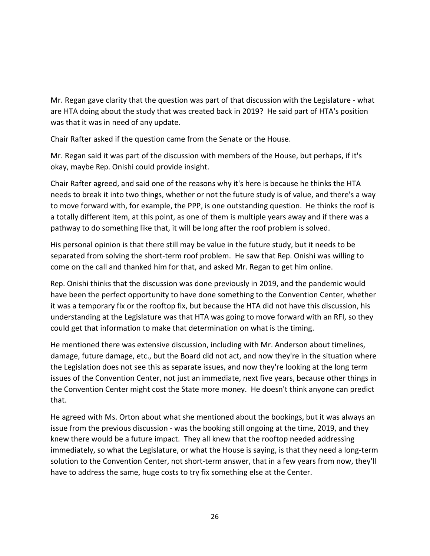Mr. Regan gave clarity that the question was part of that discussion with the Legislature - what are HTA doing about the study that was created back in 2019? He said part of HTA's position was that it was in need of any update.

Chair Rafter asked if the question came from the Senate or the House.

Mr. Regan said it was part of the discussion with members of the House, but perhaps, if it's okay, maybe Rep. Onishi could provide insight.

Chair Rafter agreed, and said one of the reasons why it's here is because he thinks the HTA needs to break it into two things, whether or not the future study is of value, and there's a way to move forward with, for example, the PPP, is one outstanding question. He thinks the roof is a totally different item, at this point, as one of them is multiple years away and if there was a pathway to do something like that, it will be long after the roof problem is solved.

His personal opinion is that there still may be value in the future study, but it needs to be separated from solving the short-term roof problem. He saw that Rep. Onishi was willing to come on the call and thanked him for that, and asked Mr. Regan to get him online.

Rep. Onishi thinks that the discussion was done previously in 2019, and the pandemic would have been the perfect opportunity to have done something to the Convention Center, whether it was a temporary fix or the rooftop fix, but because the HTA did not have this discussion, his understanding at the Legislature was that HTA was going to move forward with an RFI, so they could get that information to make that determination on what is the timing.

He mentioned there was extensive discussion, including with Mr. Anderson about timelines, damage, future damage, etc., but the Board did not act, and now they're in the situation where the Legislation does not see this as separate issues, and now they're looking at the long term issues of the Convention Center, not just an immediate, next five years, because other things in the Convention Center might cost the State more money. He doesn't think anyone can predict that.

He agreed with Ms. Orton about what she mentioned about the bookings, but it was always an issue from the previous discussion - was the booking still ongoing at the time, 2019, and they knew there would be a future impact. They all knew that the rooftop needed addressing immediately, so what the Legislature, or what the House is saying, is that they need a long-term solution to the Convention Center, not short-term answer, that in a few years from now, they'll have to address the same, huge costs to try fix something else at the Center.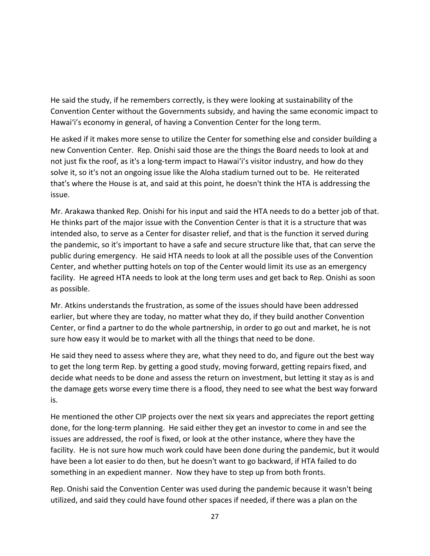He said the study, if he remembers correctly, is they were looking at sustainability of the Convention Center without the Governments subsidy, and having the same economic impact to Hawai'i's economy in general, of having a Convention Center for the long term.

He asked if it makes more sense to utilize the Center for something else and consider building a new Convention Center. Rep. Onishi said those are the things the Board needs to look at and not just fix the roof, as it's a long-term impact to Hawai'i's visitor industry, and how do they solve it, so it's not an ongoing issue like the Aloha stadium turned out to be. He reiterated that's where the House is at, and said at this point, he doesn't think the HTA is addressing the issue.

Mr. Arakawa thanked Rep. Onishi for his input and said the HTA needs to do a better job of that. He thinks part of the major issue with the Convention Center is that it is a structure that was intended also, to serve as a Center for disaster relief, and that is the function it served during the pandemic, so it's important to have a safe and secure structure like that, that can serve the public during emergency. He said HTA needs to look at all the possible uses of the Convention Center, and whether putting hotels on top of the Center would limit its use as an emergency facility. He agreed HTA needs to look at the long term uses and get back to Rep. Onishi as soon as possible.

Mr. Atkins understands the frustration, as some of the issues should have been addressed earlier, but where they are today, no matter what they do, if they build another Convention Center, or find a partner to do the whole partnership, in order to go out and market, he is not sure how easy it would be to market with all the things that need to be done.

He said they need to assess where they are, what they need to do, and figure out the best way to get the long term Rep. by getting a good study, moving forward, getting repairs fixed, and decide what needs to be done and assess the return on investment, but letting it stay as is and the damage gets worse every time there is a flood, they need to see what the best way forward is.

He mentioned the other CIP projects over the next six years and appreciates the report getting done, for the long-term planning. He said either they get an investor to come in and see the issues are addressed, the roof is fixed, or look at the other instance, where they have the facility. He is not sure how much work could have been done during the pandemic, but it would have been a lot easier to do then, but he doesn't want to go backward, if HTA failed to do something in an expedient manner. Now they have to step up from both fronts.

Rep. Onishi said the Convention Center was used during the pandemic because it wasn't being utilized, and said they could have found other spaces if needed, if there was a plan on the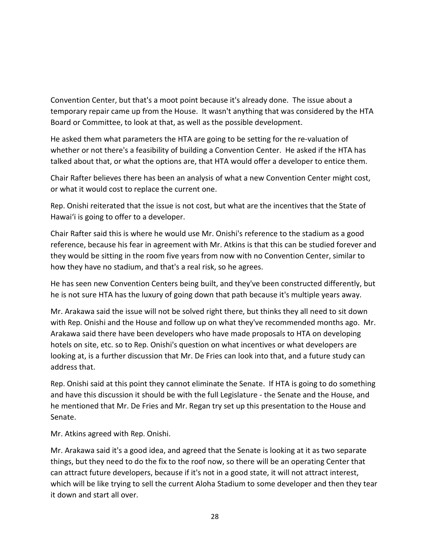Convention Center, but that's a moot point because it's already done. The issue about a temporary repair came up from the House. It wasn't anything that was considered by the HTA Board or Committee, to look at that, as well as the possible development.

He asked them what parameters the HTA are going to be setting for the re-valuation of whether or not there's a feasibility of building a Convention Center. He asked if the HTA has talked about that, or what the options are, that HTA would offer a developer to entice them.

Chair Rafter believes there has been an analysis of what a new Convention Center might cost, or what it would cost to replace the current one.

Rep. Onishi reiterated that the issue is not cost, but what are the incentives that the State of Hawai'i is going to offer to a developer.

Chair Rafter said this is where he would use Mr. Onishi's reference to the stadium as a good reference, because his fear in agreement with Mr. Atkins is that this can be studied forever and they would be sitting in the room five years from now with no Convention Center, similar to how they have no stadium, and that's a real risk, so he agrees.

He has seen new Convention Centers being built, and they've been constructed differently, but he is not sure HTA has the luxury of going down that path because it's multiple years away.

Mr. Arakawa said the issue will not be solved right there, but thinks they all need to sit down with Rep. Onishi and the House and follow up on what they've recommended months ago. Mr. Arakawa said there have been developers who have made proposals to HTA on developing hotels on site, etc. so to Rep. Onishi's question on what incentives or what developers are looking at, is a further discussion that Mr. De Fries can look into that, and a future study can address that.

Rep. Onishi said at this point they cannot eliminate the Senate. If HTA is going to do something and have this discussion it should be with the full Legislature - the Senate and the House, and he mentioned that Mr. De Fries and Mr. Regan try set up this presentation to the House and Senate.

Mr. Atkins agreed with Rep. Onishi.

Mr. Arakawa said it's a good idea, and agreed that the Senate is looking at it as two separate things, but they need to do the fix to the roof now, so there will be an operating Center that can attract future developers, because if it's not in a good state, it will not attract interest, which will be like trying to sell the current Aloha Stadium to some developer and then they tear it down and start all over.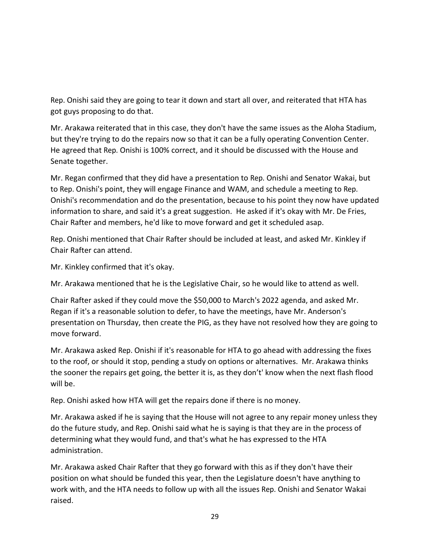Rep. Onishi said they are going to tear it down and start all over, and reiterated that HTA has got guys proposing to do that.

Mr. Arakawa reiterated that in this case, they don't have the same issues as the Aloha Stadium, but they're trying to do the repairs now so that it can be a fully operating Convention Center. He agreed that Rep. Onishi is 100% correct, and it should be discussed with the House and Senate together.

Mr. Regan confirmed that they did have a presentation to Rep. Onishi and Senator Wakai, but to Rep. Onishi's point, they will engage Finance and WAM, and schedule a meeting to Rep. Onishi's recommendation and do the presentation, because to his point they now have updated information to share, and said it's a great suggestion. He asked if it's okay with Mr. De Fries, Chair Rafter and members, he'd like to move forward and get it scheduled asap.

Rep. Onishi mentioned that Chair Rafter should be included at least, and asked Mr. Kinkley if Chair Rafter can attend.

Mr. Kinkley confirmed that it's okay.

Mr. Arakawa mentioned that he is the Legislative Chair, so he would like to attend as well.

Chair Rafter asked if they could move the \$50,000 to March's 2022 agenda, and asked Mr. Regan if it's a reasonable solution to defer, to have the meetings, have Mr. Anderson's presentation on Thursday, then create the PIG, as they have not resolved how they are going to move forward.

Mr. Arakawa asked Rep. Onishi if it's reasonable for HTA to go ahead with addressing the fixes to the roof, or should it stop, pending a study on options or alternatives. Mr. Arakawa thinks the sooner the repairs get going, the better it is, as they don't' know when the next flash flood will be.

Rep. Onishi asked how HTA will get the repairs done if there is no money.

Mr. Arakawa asked if he is saying that the House will not agree to any repair money unless they do the future study, and Rep. Onishi said what he is saying is that they are in the process of determining what they would fund, and that's what he has expressed to the HTA administration.

Mr. Arakawa asked Chair Rafter that they go forward with this as if they don't have their position on what should be funded this year, then the Legislature doesn't have anything to work with, and the HTA needs to follow up with all the issues Rep. Onishi and Senator Wakai raised.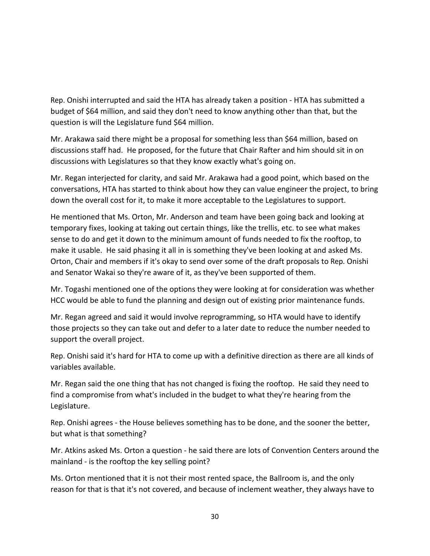Rep. Onishi interrupted and said the HTA has already taken a position - HTA has submitted a budget of \$64 million, and said they don't need to know anything other than that, but the question is will the Legislature fund \$64 million.

Mr. Arakawa said there might be a proposal for something less than \$64 million, based on discussions staff had. He proposed, for the future that Chair Rafter and him should sit in on discussions with Legislatures so that they know exactly what's going on.

Mr. Regan interjected for clarity, and said Mr. Arakawa had a good point, which based on the conversations, HTA has started to think about how they can value engineer the project, to bring down the overall cost for it, to make it more acceptable to the Legislatures to support.

He mentioned that Ms. Orton, Mr. Anderson and team have been going back and looking at temporary fixes, looking at taking out certain things, like the trellis, etc. to see what makes sense to do and get it down to the minimum amount of funds needed to fix the rooftop, to make it usable. He said phasing it all in is something they've been looking at and asked Ms. Orton, Chair and members if it's okay to send over some of the draft proposals to Rep. Onishi and Senator Wakai so they're aware of it, as they've been supported of them.

Mr. Togashi mentioned one of the options they were looking at for consideration was whether HCC would be able to fund the planning and design out of existing prior maintenance funds.

Mr. Regan agreed and said it would involve reprogramming, so HTA would have to identify those projects so they can take out and defer to a later date to reduce the number needed to support the overall project.

Rep. Onishi said it's hard for HTA to come up with a definitive direction as there are all kinds of variables available.

Mr. Regan said the one thing that has not changed is fixing the rooftop. He said they need to find a compromise from what's included in the budget to what they're hearing from the Legislature.

Rep. Onishi agrees - the House believes something has to be done, and the sooner the better, but what is that something?

Mr. Atkins asked Ms. Orton a question - he said there are lots of Convention Centers around the mainland - is the rooftop the key selling point?

Ms. Orton mentioned that it is not their most rented space, the Ballroom is, and the only reason for that is that it's not covered, and because of inclement weather, they always have to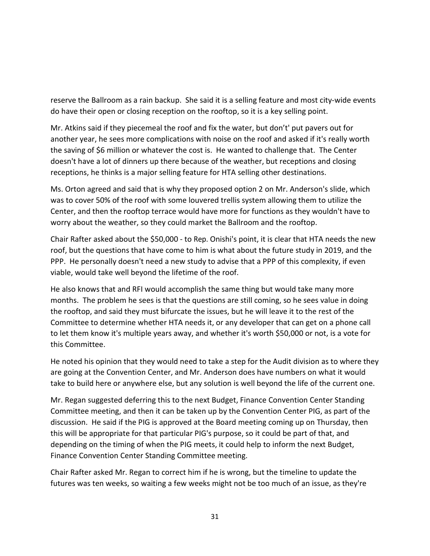reserve the Ballroom as a rain backup. She said it is a selling feature and most city-wide events do have their open or closing reception on the rooftop, so it is a key selling point.

Mr. Atkins said if they piecemeal the roof and fix the water, but don't' put pavers out for another year, he sees more complications with noise on the roof and asked if it's really worth the saving of \$6 million or whatever the cost is. He wanted to challenge that. The Center doesn't have a lot of dinners up there because of the weather, but receptions and closing receptions, he thinks is a major selling feature for HTA selling other destinations.

Ms. Orton agreed and said that is why they proposed option 2 on Mr. Anderson's slide, which was to cover 50% of the roof with some louvered trellis system allowing them to utilize the Center, and then the rooftop terrace would have more for functions as they wouldn't have to worry about the weather, so they could market the Ballroom and the rooftop.

Chair Rafter asked about the \$50,000 - to Rep. Onishi's point, it is clear that HTA needs the new roof, but the questions that have come to him is what about the future study in 2019, and the PPP. He personally doesn't need a new study to advise that a PPP of this complexity, if even viable, would take well beyond the lifetime of the roof.

He also knows that and RFI would accomplish the same thing but would take many more months. The problem he sees is that the questions are still coming, so he sees value in doing the rooftop, and said they must bifurcate the issues, but he will leave it to the rest of the Committee to determine whether HTA needs it, or any developer that can get on a phone call to let them know it's multiple years away, and whether it's worth \$50,000 or not, is a vote for this Committee.

He noted his opinion that they would need to take a step for the Audit division as to where they are going at the Convention Center, and Mr. Anderson does have numbers on what it would take to build here or anywhere else, but any solution is well beyond the life of the current one.

Mr. Regan suggested deferring this to the next Budget, Finance Convention Center Standing Committee meeting, and then it can be taken up by the Convention Center PIG, as part of the discussion. He said if the PIG is approved at the Board meeting coming up on Thursday, then this will be appropriate for that particular PIG's purpose, so it could be part of that, and depending on the timing of when the PIG meets, it could help to inform the next Budget, Finance Convention Center Standing Committee meeting.

Chair Rafter asked Mr. Regan to correct him if he is wrong, but the timeline to update the futures was ten weeks, so waiting a few weeks might not be too much of an issue, as they're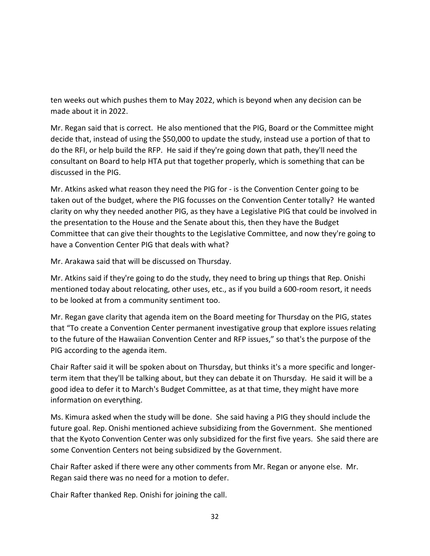ten weeks out which pushes them to May 2022, which is beyond when any decision can be made about it in 2022.

Mr. Regan said that is correct. He also mentioned that the PIG, Board or the Committee might decide that, instead of using the \$50,000 to update the study, instead use a portion of that to do the RFI, or help build the RFP. He said if they're going down that path, they'll need the consultant on Board to help HTA put that together properly, which is something that can be discussed in the PIG.

Mr. Atkins asked what reason they need the PIG for - is the Convention Center going to be taken out of the budget, where the PIG focusses on the Convention Center totally? He wanted clarity on why they needed another PIG, as they have a Legislative PIG that could be involved in the presentation to the House and the Senate about this, then they have the Budget Committee that can give their thoughts to the Legislative Committee, and now they're going to have a Convention Center PIG that deals with what?

Mr. Arakawa said that will be discussed on Thursday.

Mr. Atkins said if they're going to do the study, they need to bring up things that Rep. Onishi mentioned today about relocating, other uses, etc., as if you build a 600-room resort, it needs to be looked at from a community sentiment too.

Mr. Regan gave clarity that agenda item on the Board meeting for Thursday on the PIG, states that "To create a Convention Center permanent investigative group that explore issues relating to the future of the Hawaiian Convention Center and RFP issues," so that's the purpose of the PIG according to the agenda item.

Chair Rafter said it will be spoken about on Thursday, but thinks it's a more specific and longerterm item that they'll be talking about, but they can debate it on Thursday. He said it will be a good idea to defer it to March's Budget Committee, as at that time, they might have more information on everything.

Ms. Kimura asked when the study will be done. She said having a PIG they should include the future goal. Rep. Onishi mentioned achieve subsidizing from the Government. She mentioned that the Kyoto Convention Center was only subsidized for the first five years. She said there are some Convention Centers not being subsidized by the Government.

Chair Rafter asked if there were any other comments from Mr. Regan or anyone else. Mr. Regan said there was no need for a motion to defer.

Chair Rafter thanked Rep. Onishi for joining the call.